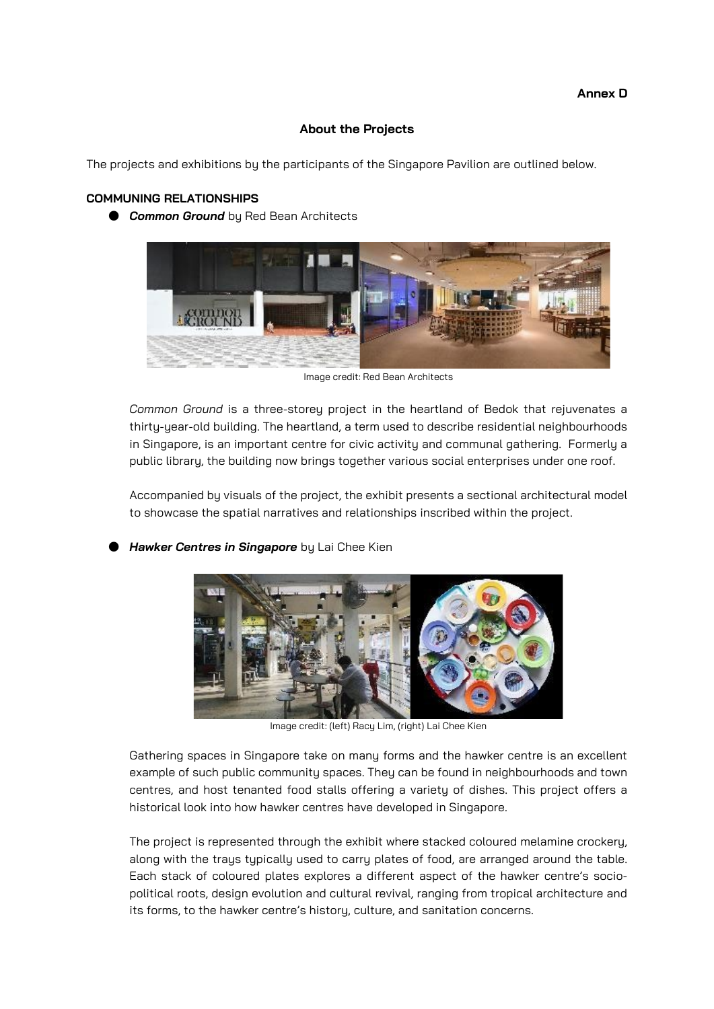### **About the Projects**

The projects and exhibitions by the participants of the Singapore Pavilion are outlined below.

### **COMMUNING RELATIONSHIPS**

**Common Ground** by Red Bean Architects



Image credit: Red Bean Architects

*Common Ground* is a three-storey project in the heartland of Bedok that rejuvenates a thirty-year-old building. The heartland, a term used to describe residential neighbourhoods in Singapore, is an important centre for civic activity and communal gathering. Formerly a public library, the building now brings together various social enterprises under one roof.

Accompanied by visuals of the project, the exhibit presents a sectional architectural model to showcase the spatial narratives and relationships inscribed within the project.

**Hawker Centres in Singapore** by Lai Chee Kien



Image credit: (left) Racy Lim, (right) Lai Chee Kien

Gathering spaces in Singapore take on many forms and the hawker centre is an excellent example of such public community spaces. They can be found in neighbourhoods and town centres, and host tenanted food stalls offering a variety of dishes. This project offers a historical look into how hawker centres have developed in Singapore.

The project is represented through the exhibit where stacked coloured melamine crockery, along with the trays typically used to carry plates of food, are arranged around the table. Each stack of coloured plates explores a different aspect of the hawker centre's sociopolitical roots, design evolution and cultural revival, ranging from tropical architecture and its forms, to the hawker centre's history, culture, and sanitation concerns.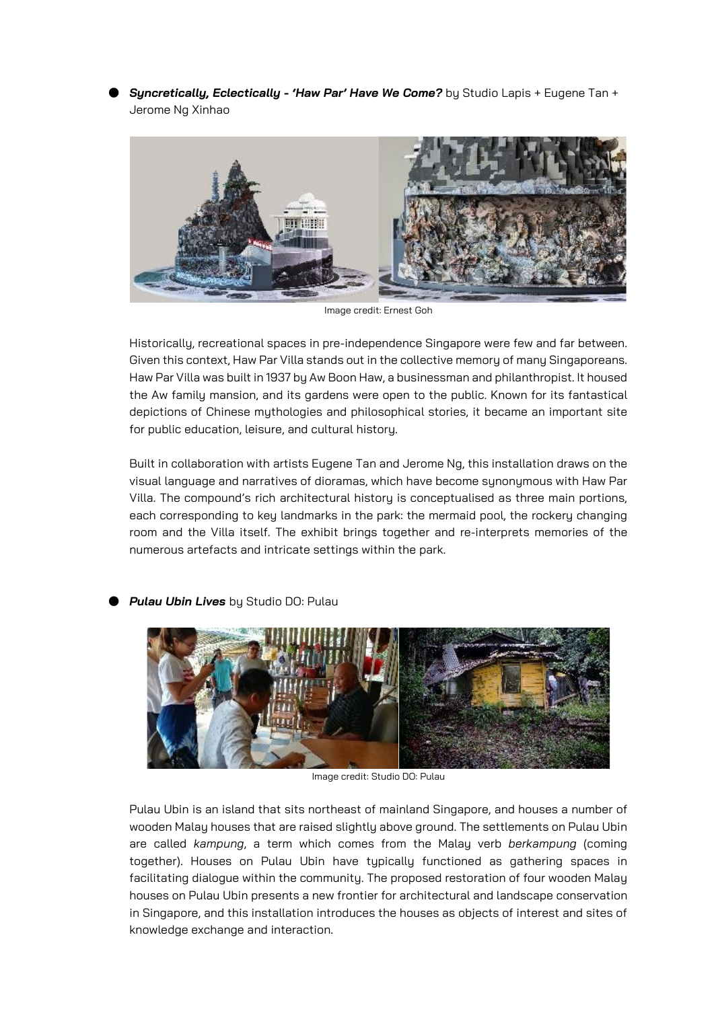**Syncretically, Eclectically - 'Haw Par' Have We Come?** by Studio Lapis + Eugene Tan + Jerome Ng Xinhao



Image credit: Ernest Goh

Historically, recreational spaces in pre-independence Singapore were few and far between. Given this context, Haw Par Villa stands out in the collective memory of many Singaporeans. Haw Par Villa was built in 1937 by Aw Boon Haw, a businessman and philanthropist. It housed the Aw family mansion, and its gardens were open to the public. Known for its fantastical depictions of Chinese mythologies and philosophical stories, it became an important site for public education, leisure, and cultural history.

Built in collaboration with artists Eugene Tan and Jerome Ng, this installation draws on the visual language and narratives of dioramas, which have become synonymous with Haw Par Villa. The compound's rich architectural history is conceptualised as three main portions, each corresponding to key landmarks in the park: the mermaid pool, the rockery changing room and the Villa itself. The exhibit brings together and re-interprets memories of the numerous artefacts and intricate settings within the park.



**Pulau Ubin Lives** by Studio DO: Pulau

Image credit: Studio DO: Pulau

Pulau Ubin is an island that sits northeast of mainland Singapore, and houses a number of wooden Malay houses that are raised slightly above ground. The settlements on Pulau Ubin are called *kampung*, a term which comes from the Malay verb *berkampung* (coming together). Houses on Pulau Ubin have typically functioned as gathering spaces in facilitating dialogue within the community. The proposed restoration of four wooden Malay houses on Pulau Ubin presents a new frontier for architectural and landscape conservation in Singapore, and this installation introduces the houses as objects of interest and sites of knowledge exchange and interaction.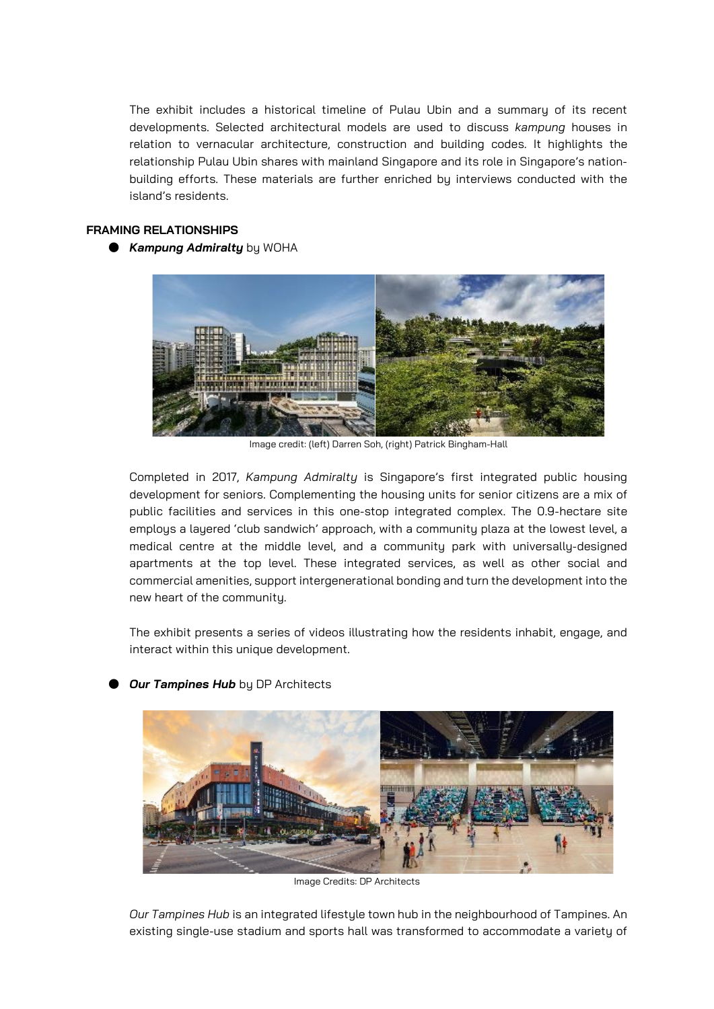The exhibit includes a historical timeline of Pulau Ubin and a summary of its recent developments. Selected architectural models are used to discuss *kampung* houses in relation to vernacular architecture, construction and building codes. It highlights the relationship Pulau Ubin shares with mainland Singapore and its role in Singapore's nationbuilding efforts. These materials are further enriched by interviews conducted with the island's residents.

## **FRAMING RELATIONSHIPS**

● *Kampung Admiralty* by WOHA



Image credit: (left) Darren Soh, (right) Patrick Bingham-Hall

Completed in 2017, *Kampung Admiralty* is Singapore's first integrated public housing development for seniors. Complementing the housing units for senior citizens are a mix of public facilities and services in this one-stop integrated complex. The 0.9-hectare site employs a layered 'club sandwich' approach, with a community plaza at the lowest level, a medical centre at the middle level, and a community park with universally-designed apartments at the top level. These integrated services, as well as other social and commercial amenities, support intergenerational bonding and turn the development into the new heart of the community.

The exhibit presents a series of videos illustrating how the residents inhabit, engage, and interact within this unique development.



# **Our Tampines Hub** by DP Architects

Image Credits: DP Architects

*Our Tampines Hub* is an integrated lifestyle town hub in the neighbourhood of Tampines. An existing single-use stadium and sports hall was transformed to accommodate a variety of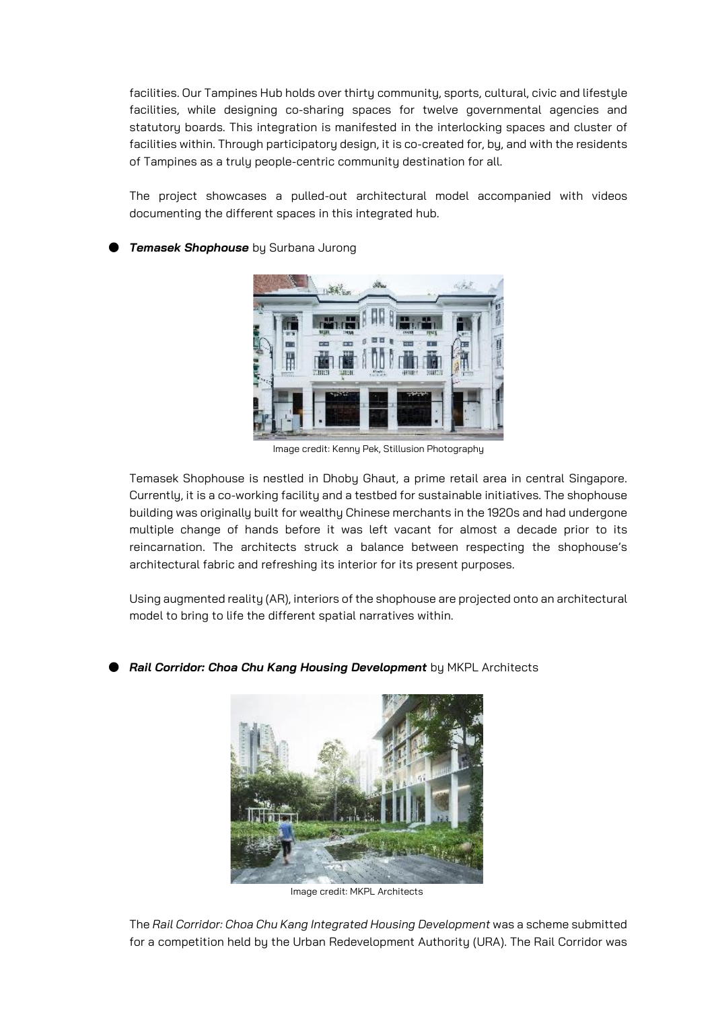facilities. Our Tampines Hub holds over thirty community, sports, cultural, civic and lifestyle facilities, while designing co-sharing spaces for twelve governmental agencies and statutory boards. This integration is manifested in the interlocking spaces and cluster of facilities within. Through participatory design, it is co-created for, by, and with the residents of Tampines as a truly people-centric community destination for all.

The project showcases a pulled-out architectural model accompanied with videos documenting the different spaces in this integrated hub.

**Temasek Shophouse** by Surbana Jurong



Image credit: Kenny Pek, Stillusion Photography

Temasek Shophouse is nestled in Dhoby Ghaut, a prime retail area in central Singapore. Currently, it is a co-working facility and a testbed for sustainable initiatives. The shophouse building was originally built for wealthy Chinese merchants in the 1920s and had undergone multiple change of hands before it was left vacant for almost a decade prior to its reincarnation. The architects struck a balance between respecting the shophouse's architectural fabric and refreshing its interior for its present purposes.

Using augmented reality (AR), interiors of the shophouse are projected onto an architectural model to bring to life the different spatial narratives within.

**Rail Corridor: Choa Chu Kang Housing Development** by MKPL Architects



Image credit: MKPL Architects

The *Rail Corridor: Choa Chu Kang Integrated Housing Development* was a scheme submitted for a competition held by the Urban Redevelopment Authority (URA). The Rail Corridor was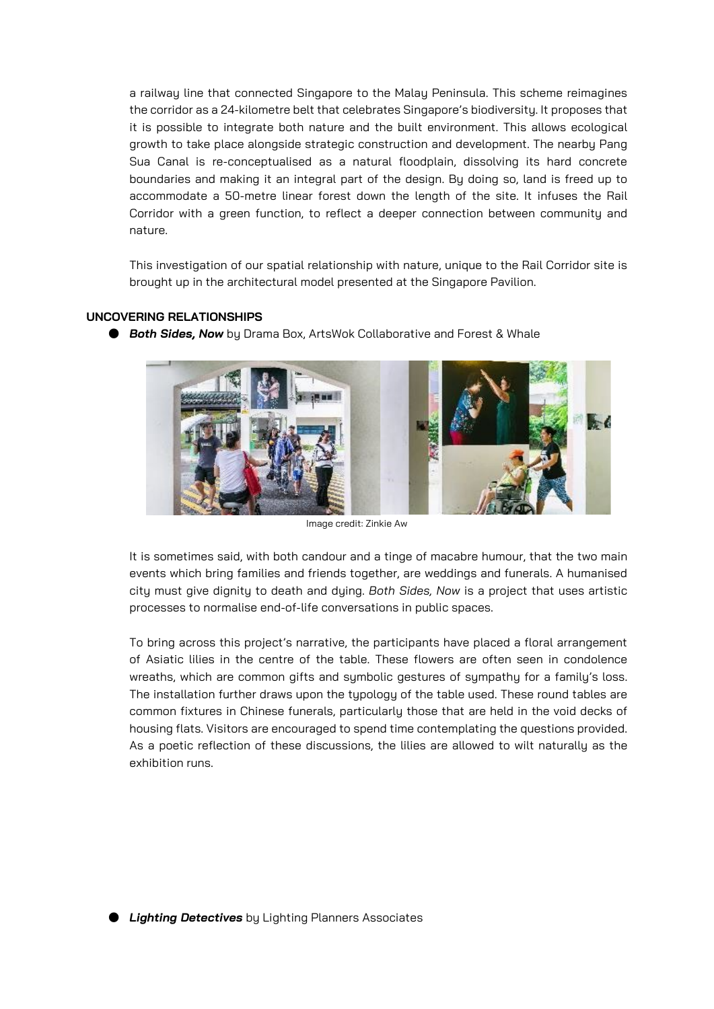a railway line that connected Singapore to the Malay Peninsula. This scheme reimagines the corridor as a 24-kilometre belt that celebrates Singapore's biodiversity. It proposes that it is possible to integrate both nature and the built environment. This allows ecological growth to take place alongside strategic construction and development. The nearby Pang Sua Canal is re-conceptualised as a natural floodplain, dissolving its hard concrete boundaries and making it an integral part of the design. By doing so, land is freed up to accommodate a 50-metre linear forest down the length of the site. It infuses the Rail Corridor with a green function, to reflect a deeper connection between community and nature.

This investigation of our spatial relationship with nature, unique to the Rail Corridor site is brought up in the architectural model presented at the Singapore Pavilion.

## **UNCOVERING RELATIONSHIPS**



● *Both Sides, Now* by Drama Box, ArtsWok Collaborative and Forest & Whale

Image credit: Zinkie Aw

It is sometimes said, with both candour and a tinge of macabre humour, that the two main events which bring families and friends together, are weddings and funerals. A humanised city must give dignity to death and dying. *Both Sides, Now* is a project that uses artistic processes to normalise end-of-life conversations in public spaces.

To bring across this project's narrative, the participants have placed a floral arrangement of Asiatic lilies in the centre of the table. These flowers are often seen in condolence wreaths, which are common gifts and symbolic gestures of sympathy for a family's loss. The installation further draws upon the typology of the table used. These round tables are common fixtures in Chinese funerals, particularly those that are held in the void decks of housing flats. Visitors are encouraged to spend time contemplating the questions provided. As a poetic reflection of these discussions, the lilies are allowed to wilt naturally as the exhibition runs.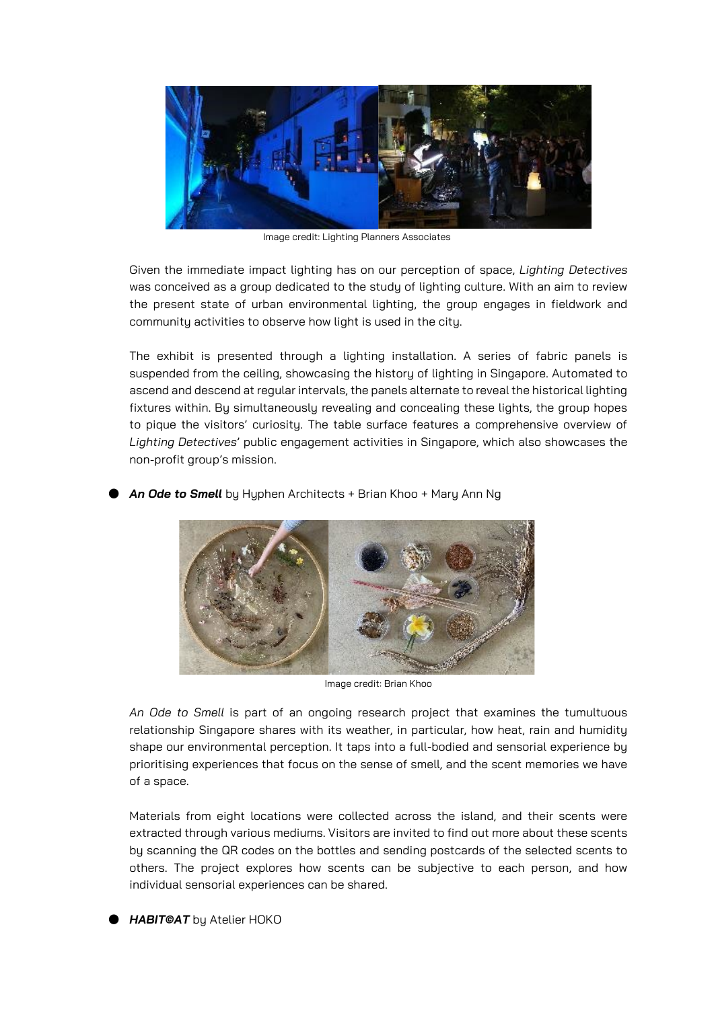

Image credit: Lighting Planners Associates

Given the immediate impact lighting has on our perception of space, *Lighting Detectives* was conceived as a group dedicated to the study of lighting culture. With an aim to review the present state of urban environmental lighting, the group engages in fieldwork and community activities to observe how light is used in the city.

The exhibit is presented through a lighting installation. A series of fabric panels is suspended from the ceiling, showcasing the history of lighting in Singapore. Automated to ascend and descend at regular intervals, the panels alternate to reveal the historical lighting fixtures within. By simultaneously revealing and concealing these lights, the group hopes to pique the visitors' curiosity. The table surface features a comprehensive overview of *Lighting Detectives*' public engagement activities in Singapore, which also showcases the non-profit group's mission.

An Ode to Smell by Hyphen Architects + Brian Khoo + Mary Ann Ng



Image credit: Brian Khoo

*An Ode to Smell* is part of an ongoing research project that examines the tumultuous relationship Singapore shares with its weather, in particular, how heat, rain and humidity shape our environmental perception. It taps into a full-bodied and sensorial experience by prioritising experiences that focus on the sense of smell, and the scent memories we have of a space.

Materials from eight locations were collected across the island, and their scents were extracted through various mediums. Visitors are invited to find out more about these scents by scanning the QR codes on the bottles and sending postcards of the selected scents to others. The project explores how scents can be subjective to each person, and how individual sensorial experiences can be shared.

● *HABIT©AT* by Atelier HOKO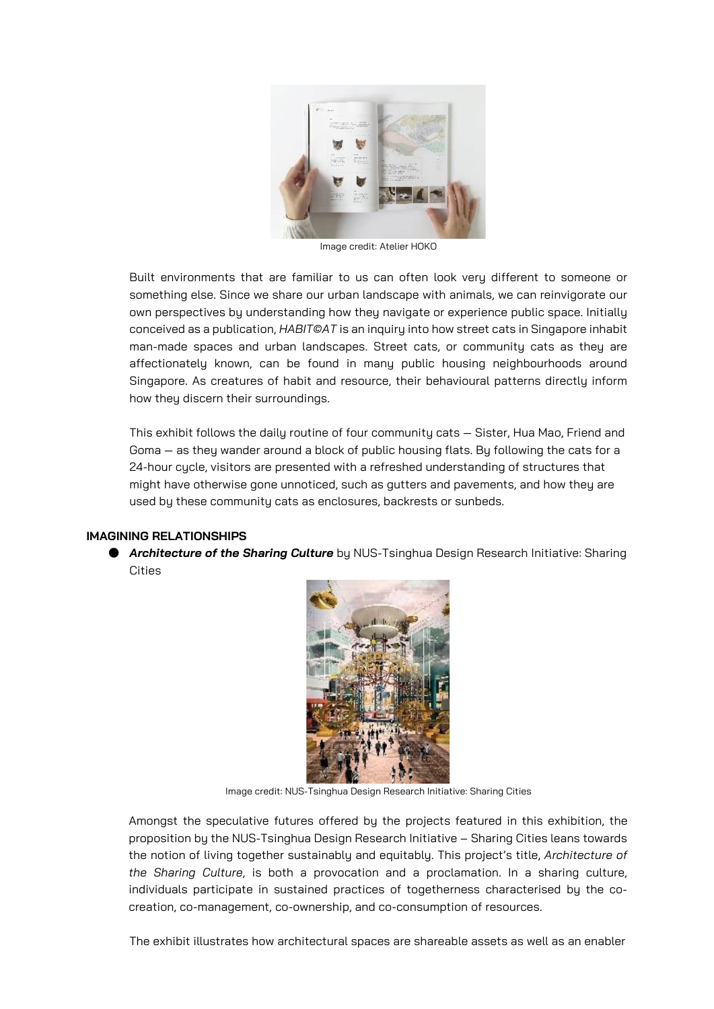

Image credit: Atelier HOKO

Built environments that are familiar to us can often look very different to someone or something else. Since we share our urban landscape with animals, we can reinvigorate our own perspectives by understanding how they navigate or experience public space. Initially conceived as a publication, *HABIT©AT* is an inquiry into how street cats in Singapore inhabit man-made spaces and urban landscapes. Street cats, or community cats as they are affectionately known, can be found in many public housing neighbourhoods around Singapore. As creatures of habit and resource, their behavioural patterns directly inform how they discern their surroundings.

This exhibit follows the daily routine of four community cats — Sister, Hua Mao, Friend and Goma — as they wander around a block of public housing flats. By following the cats for a 24-hour cycle, visitors are presented with a refreshed understanding of structures that might have otherwise gone unnoticed, such as gutters and pavements, and how they are used by these community cats as enclosures, backrests or sunbeds.

#### **IMAGINING RELATIONSHIPS**

● **Architecture of the Sharing Culture** by NUS-Tsinghua Design Research Initiative: Sharing Cities



Image credit: NUS-Tsinghua Design Research Initiative: Sharing Cities

Amongst the speculative futures offered by the projects featured in this exhibition, the proposition by the NUS-Tsinghua Design Research Initiative – Sharing Cities leans towards the notion of living together sustainably and equitably. This project's title, *Architecture of the Sharing Culture*, is both a provocation and a proclamation. In a sharing culture, individuals participate in sustained practices of togetherness characterised by the cocreation, co-management, co-ownership, and co-consumption of resources.

The exhibit illustrates how architectural spaces are shareable assets as well as an enabler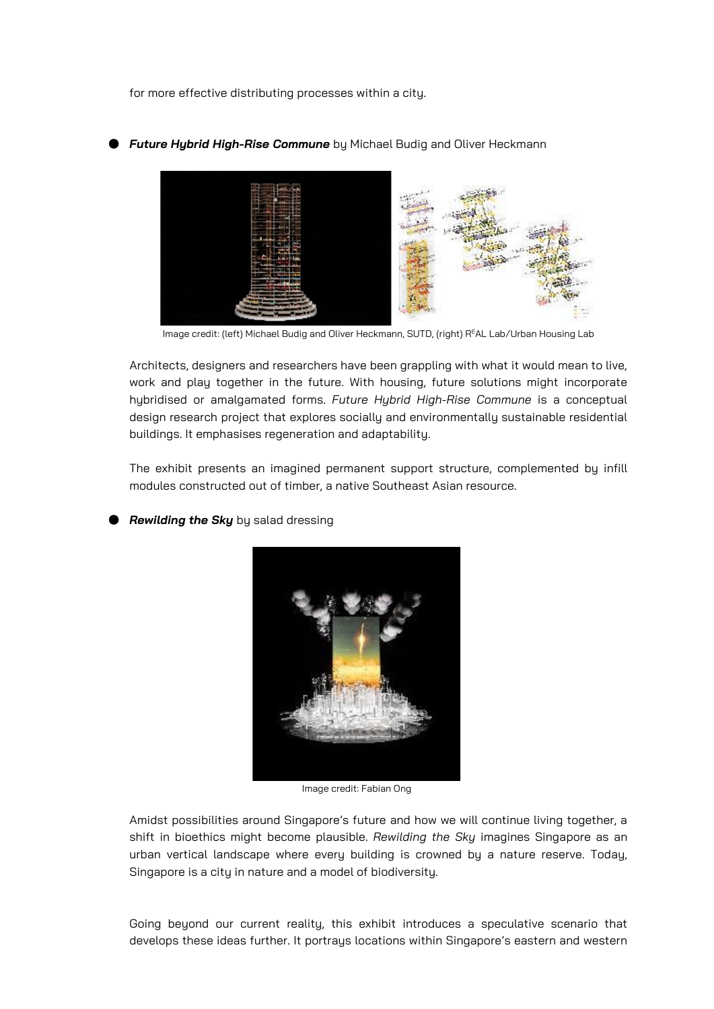for more effective distributing processes within a city.



**Future Hubrid High-Rise Commune** by Michael Budig and Oliver Heckmann

Image credit: (left) Michael Budig and Oliver Heckmann, SUTD, (right) R<sup>E</sup>AL Lab/Urban Housing Lab

Architects, designers and researchers have been grappling with what it would mean to live, work and play together in the future. With housing, future solutions might incorporate hybridised or amalgamated forms. *Future Hybrid High-Rise Commune* is a conceptual design research project that explores socially and environmentally sustainable residential buildings. It emphasises regeneration and adaptability.

The exhibit presents an imagined permanent support structure, complemented by infill modules constructed out of timber, a native Southeast Asian resource.

**Rewilding the Sky** by salad dressing



Image credit: Fabian Ong

Amidst possibilities around Singapore's future and how we will continue living together, a shift in bioethics might become plausible. *Rewilding the Sky* imagines Singapore as an urban vertical landscape where every building is crowned by a nature reserve. Today, Singapore is a city in nature and a model of biodiversity.

Going beyond our current reality, this exhibit introduces a speculative scenario that develops these ideas further. It portrays locations within Singapore's eastern and western